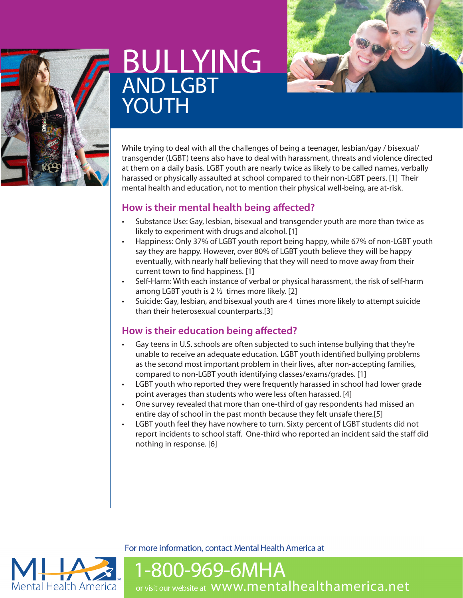

# **BULLYING** AND LGBT YOUTH



While trying to deal with all the challenges of being a teenager, lesbian/gay / bisexual/ transgender (LGBT) teens also have to deal with harassment, threats and violence directed at them on a daily basis. LGBT youth are nearly twice as likely to be called names, verbally harassed or physically assaulted at school compared to their non-LGBT peers. [1] Their mental health and education, not to mention their physical well-being, are at-risk.

## **How is their mental health being affected?**

- Substance Use: Gay, lesbian, bisexual and transgender youth are more than twice as likely to experiment with drugs and alcohol. [1]
- Happiness: Only 37% of LGBT youth report being happy, while 67% of non-LGBT youth say they are happy. However, over 80% of LGBT youth believe they will be happy eventually, with nearly half believing that they will need to move away from their current town to find happiness. [1]
- Self-Harm: With each instance of verbal or physical harassment, the risk of self-harm among LGBT youth is 2 ½ times more likely. [2]
- Suicide: Gay, lesbian, and bisexual youth are 4 times more likely to attempt suicide than their heterosexual counterparts.[3]

## **How is their education being affected?**

- Gay teens in U.S. schools are often subjected to such intense bullying that they're unable to receive an adequate education. LGBT youth identified bullying problems as the second most important problem in their lives, after non-accepting families, compared to non-LGBT youth identifying classes/exams/grades. [1]
- LGBT youth who reported they were frequently harassed in school had lower grade point averages than students who were less often harassed. [4]
- One survey revealed that more than one-third of gay respondents had missed an entire day of school in the past month because they felt unsafe there.[5]
- LGBT youth feel they have nowhere to turn. Sixty percent of LGBT students did not report incidents to school staff. One-third who reported an incident said the staff did nothing in response. [6]

**Mental Health America** 

For more information, contact Mental Health America at

1-800-969-6MHA or visit our website at WWW.mentalhealthamerica.net